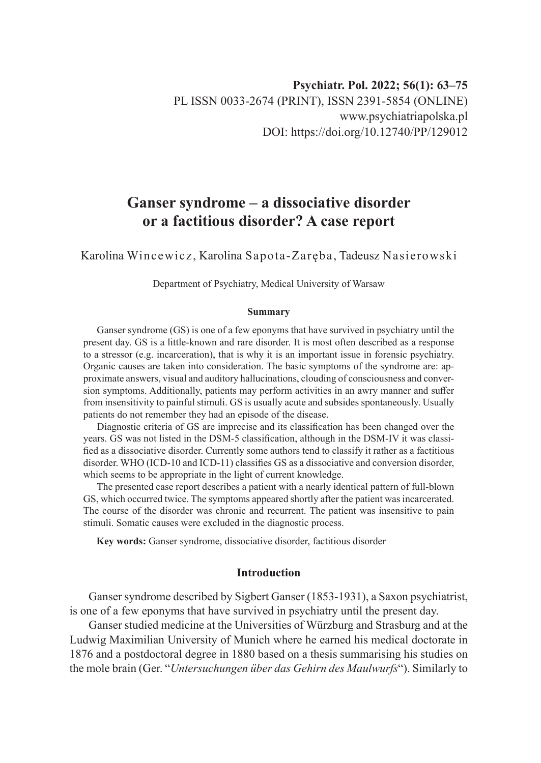# **Ganser syndrome – a dissociative disorder or a factitious disorder? A case report**

Karolina Wincewicz, Karolina Sapota-Zaręba, Tadeusz Nasierowski

Department of Psychiatry, Medical University of Warsaw

### **Summary**

Ganser syndrome (GS) is one of a few eponyms that have survived in psychiatry until the present day. GS is a little-known and rare disorder. It is most often described as a response to a stressor (e.g. incarceration), that is why it is an important issue in forensic psychiatry. Organic causes are taken into consideration. The basic symptoms of the syndrome are: approximate answers, visual and auditory hallucinations, clouding of consciousness and conversion symptoms. Additionally, patients may perform activities in an awry manner and suffer from insensitivity to painful stimuli. GS is usually acute and subsides spontaneously. Usually patients do not remember they had an episode of the disease.

Diagnostic criteria of GS are imprecise and its classification has been changed over the years. GS was not listed in the DSM-5 classification, although in the DSM-IV it was classified as a dissociative disorder. Currently some authors tend to classify it rather as a factitious disorder. WHO (ICD-10 and ICD-11) classifies GS as a dissociative and conversion disorder, which seems to be appropriate in the light of current knowledge.

The presented case report describes a patient with a nearly identical pattern of full-blown GS, which occurred twice. The symptoms appeared shortly after the patient was incarcerated. The course of the disorder was chronic and recurrent. The patient was insensitive to pain stimuli. Somatic causes were excluded in the diagnostic process.

**Key words:** Ganser syndrome, dissociative disorder, factitious disorder

# **Introduction**

Ganser syndrome described by Sigbert Ganser (1853-1931), a Saxon psychiatrist, is one of a few eponyms that have survived in psychiatry until the present day.

Ganser studied medicine at the Universities of Würzburg and Strasburg and at the Ludwig Maximilian University of Munich where he earned his medical doctorate in 1876 and a postdoctoral degree in 1880 based on a thesis summarising his studies on the mole brain (Ger. "*Untersuchungen über das Gehirn des Maulwurfs*"). Similarly to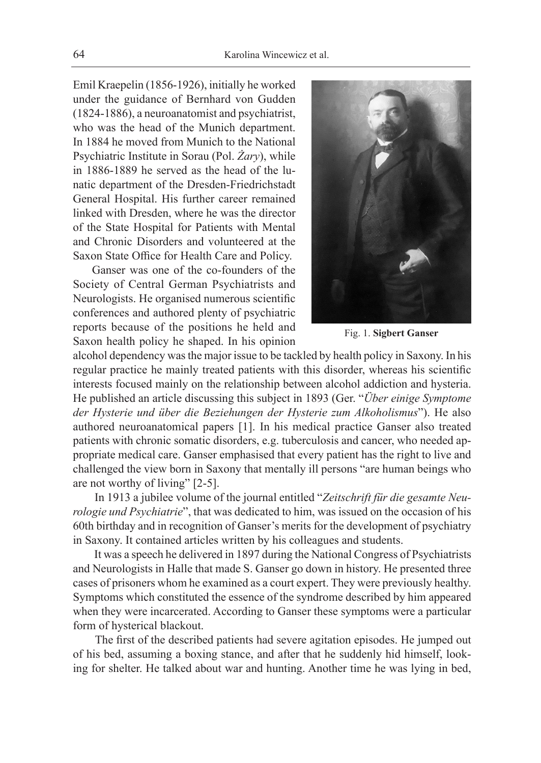Emil Kraepelin (1856-1926), initially he worked under the guidance of Bernhard von Gudden (1824-1886), a neuroanatomist and psychiatrist, who was the head of the Munich department. In 1884 he moved from Munich to the National Psychiatric Institute in Sorau (Pol. *Żary*), while in 1886-1889 he served as the head of the lunatic department of the Dresden-Friedrichstadt General Hospital. His further career remained linked with Dresden, where he was the director of the State Hospital for Patients with Mental and Chronic Disorders and volunteered at the Saxon State Office for Health Care and Policy.

Ganser was one of the co-founders of the Society of Central German Psychiatrists and Neurologists. He organised numerous scientific conferences and authored plenty of psychiatric reports because of the positions he held and Saxon health policy he shaped. In his opinion



Fig. 1. **Sigbert Ganser**

alcohol dependency was the major issue to be tackled by health policy in Saxony. In his regular practice he mainly treated patients with this disorder, whereas his scientific interests focused mainly on the relationship between alcohol addiction and hysteria. He published an article discussing this subject in 1893 (Ger. "*Über einige Symptome der Hysterie und über die Beziehungen der Hysterie zum Alkoholismus*"). He also authored neuroanatomical papers [1]. In his medical practice Ganser also treated patients with chronic somatic disorders, e.g. tuberculosis and cancer, who needed appropriate medical care. Ganser emphasised that every patient has the right to live and challenged the view born in Saxony that mentally ill persons "are human beings who are not worthy of living" [2-5].

 In 1913 a jubilee volume of the journal entitled "*Zeitschrift für die gesamte Neurologie und Psychiatrie*", that was dedicated to him, was issued on the occasion of his 60th birthday and in recognition of Ganser's merits for the development of psychiatry in Saxony. It contained articles written by his colleagues and students.

 It was a speech he delivered in 1897 during the National Congress of Psychiatrists and Neurologists in Halle that made S. Ganser go down in history. He presented three cases of prisoners whom he examined as a court expert. They were previously healthy. Symptoms which constituted the essence of the syndrome described by him appeared when they were incarcerated. According to Ganser these symptoms were a particular form of hysterical blackout.

 The first of the described patients had severe agitation episodes. He jumped out of his bed, assuming a boxing stance, and after that he suddenly hid himself, looking for shelter. He talked about war and hunting. Another time he was lying in bed,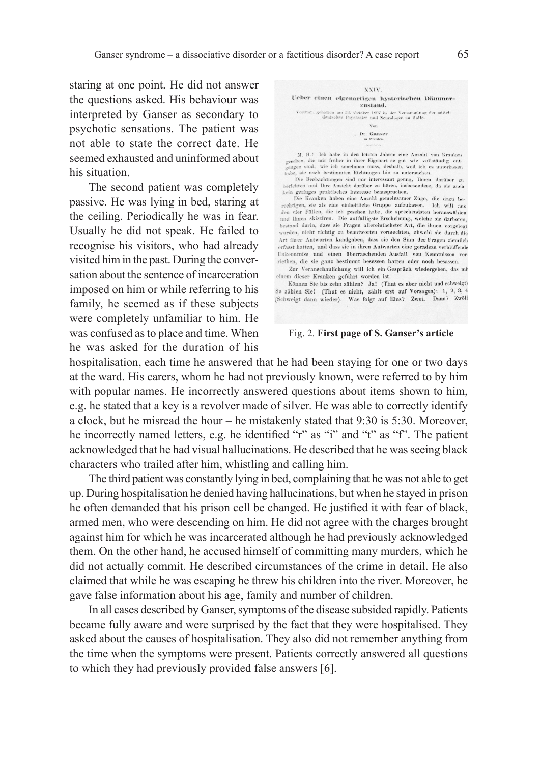staring at one point. He did not answer the questions asked. His behaviour was interpreted by Ganser as secondary to psychotic sensations. The patient was not able to state the correct date. He seemed exhausted and uninformed about his situation.

The second patient was completely passive. He was lying in bed, staring at the ceiling. Periodically he was in fear. Usually he did not speak. He failed to recognise his visitors, who had already visited him in the past. During the conversation about the sentence of incarceration imposed on him or while referring to his family, he seemed as if these subjects were completely unfamiliar to him. He was confused as to place and time. When he was asked for the duration of his

#### $\overline{v}$ Ueber einen eigenartigen hysterischen Dämmerzustand.

EUSTRIKE in der Versammlung der mittel deutschen Psychiater und Neurologen zu Halle.<br>deutschen Psychiater und Neurologen zu Halle. Ven

# $\sim$  Dr. Ganser

 $\rm M,~H,l~$ Ich habe in den letzten Jahren eine Anzahl von Kranken gesehen, die mir früher in ihrer Eigenart so gut wie vollständig entgangen sind, wie ich annehmen muss, deshalb, weil ich somterlassen jahren jahren sind, e

Die Beobachtungen sind mir interessant genug, Ihnen darüber zu berichten und Ihre Ansicht darüber zu hören, insbesondere, da sie auch kein geringes praktisches Interesse beanspruchen. Die Kranken haben eine Anzahl gemeinsamer Züge, die dazu be-

rechtigen, sie als eine einheitliche Gruppe aufzufassen. Ich will aus und Ihnen skizziren. Die auffälligste Erscheinung, welche sie darboten, bestand darin, dass sie Fragen allereinfachster Art, die ihnen vorgelegt wurden, nicht richtig zu beantworten vermochten, obwohl sie durch die Art ihrer Antworten kundgaben, dass sie den Sinn der Fragen ziemlich erfasst hatten, und dass sie in ihren Antworten eine geradezu verblüffende Unkenntniss und einen überraschenden Ausfall von Kenntnissen verriethen, die sie ganz bestimmt besessen hatten oder noch besassen.

Zur Veranschaulichung will ich ein Gespräch wiedergeben, das mit einem dieser Kranken geführt worden ist.

Können Sie bis zehn zählen? Ja! (Thut es aber nicht und schweigt) So zählen Sie! (Thut es nicht, zählt erst auf Vorsagen): 1, 2, 3, 4 (Schweigt dann wieder). Was folgt auf Eins? Zwei. Dann? Zwölf

#### Fig. 2. **First page of S. Ganser's article**

hospitalisation, each time he answered that he had been staying for one or two days at the ward. His carers, whom he had not previously known, were referred to by him with popular names. He incorrectly answered questions about items shown to him, e.g. he stated that a key is a revolver made of silver. He was able to correctly identify a clock, but he misread the hour – he mistakenly stated that 9:30 is 5:30. Moreover, he incorrectly named letters, e.g. he identified "r" as "i" and "t" as "f". The patient acknowledged that he had visual hallucinations. He described that he was seeing black characters who trailed after him, whistling and calling him.

The third patient was constantly lying in bed, complaining that he was not able to get up. During hospitalisation he denied having hallucinations, but when he stayed in prison he often demanded that his prison cell be changed. He justified it with fear of black, armed men, who were descending on him. He did not agree with the charges brought against him for which he was incarcerated although he had previously acknowledged them. On the other hand, he accused himself of committing many murders, which he did not actually commit. He described circumstances of the crime in detail. He also claimed that while he was escaping he threw his children into the river. Moreover, he gave false information about his age, family and number of children.

In all cases described by Ganser, symptoms of the disease subsided rapidly. Patients became fully aware and were surprised by the fact that they were hospitalised. They asked about the causes of hospitalisation. They also did not remember anything from the time when the symptoms were present. Patients correctly answered all questions to which they had previously provided false answers [6].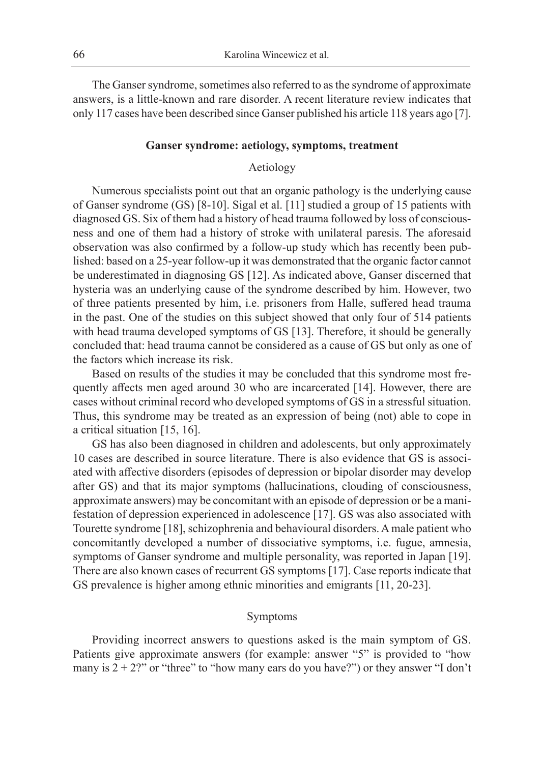The Ganser syndrome, sometimes also referred to as the syndrome of approximate answers, is a little-known and rare disorder. A recent literature review indicates that only 117 cases have been described since Ganser published his article 118 years ago [7].

## **Ganser syndrome: aetiology, symptoms, treatment**

# Aetiology

Numerous specialists point out that an organic pathology is the underlying cause of Ganser syndrome (GS) [8-10]. Sigal et al. [11] studied a group of 15 patients with diagnosed GS. Six of them had a history of head trauma followed by loss of consciousness and one of them had a history of stroke with unilateral paresis. The aforesaid observation was also confirmed by a follow-up study which has recently been published: based on a 25-year follow-up it was demonstrated that the organic factor cannot be underestimated in diagnosing GS [12]. As indicated above, Ganser discerned that hysteria was an underlying cause of the syndrome described by him. However, two of three patients presented by him, i.e. prisoners from Halle, suffered head trauma in the past. One of the studies on this subject showed that only four of 514 patients with head trauma developed symptoms of GS [13]. Therefore, it should be generally concluded that: head trauma cannot be considered as a cause of GS but only as one of the factors which increase its risk.

Based on results of the studies it may be concluded that this syndrome most frequently affects men aged around 30 who are incarcerated [14]. However, there are cases without criminal record who developed symptoms of GS in a stressful situation. Thus, this syndrome may be treated as an expression of being (not) able to cope in a critical situation [15, 16].

GS has also been diagnosed in children and adolescents, but only approximately 10 cases are described in source literature. There is also evidence that GS is associated with affective disorders (episodes of depression or bipolar disorder may develop after GS) and that its major symptoms (hallucinations, clouding of consciousness, approximate answers) may be concomitant with an episode of depression or be a manifestation of depression experienced in adolescence [17]. GS was also associated with Tourette syndrome [18], schizophrenia and behavioural disorders. A male patient who concomitantly developed a number of dissociative symptoms, i.e. fugue, amnesia, symptoms of Ganser syndrome and multiple personality, was reported in Japan [19]. There are also known cases of recurrent GS symptoms [17]. Case reports indicate that GS prevalence is higher among ethnic minorities and emigrants [11, 20-23].

# Symptoms

Providing incorrect answers to questions asked is the main symptom of GS. Patients give approximate answers (for example: answer "5" is provided to "how many is  $2 + 2$ ?" or "three" to "how many ears do you have?") or they answer "I don't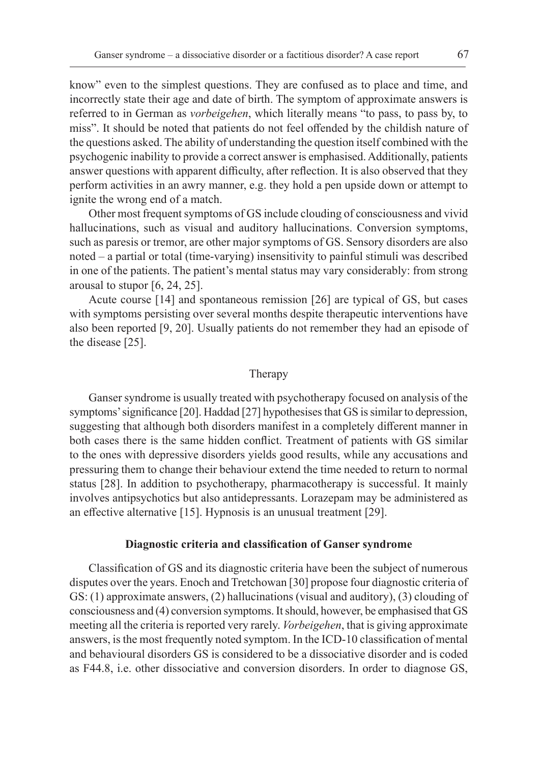know" even to the simplest questions. They are confused as to place and time, and incorrectly state their age and date of birth. The symptom of approximate answers is referred to in German as *vorbeigehen*, which literally means "to pass, to pass by, to miss". It should be noted that patients do not feel offended by the childish nature of the questions asked. The ability of understanding the question itself combined with the psychogenic inability to provide a correct answer is emphasised. Additionally, patients answer questions with apparent difficulty, after reflection. It is also observed that they perform activities in an awry manner, e.g. they hold a pen upside down or attempt to ignite the wrong end of a match.

Other most frequent symptoms of GS include clouding of consciousness and vivid hallucinations, such as visual and auditory hallucinations. Conversion symptoms, such as paresis or tremor, are other major symptoms of GS. Sensory disorders are also noted – a partial or total (time-varying) insensitivity to painful stimuli was described in one of the patients. The patient's mental status may vary considerably: from strong arousal to stupor [6, 24, 25].

Acute course [14] and spontaneous remission [26] are typical of GS, but cases with symptoms persisting over several months despite therapeutic interventions have also been reported [9, 20]. Usually patients do not remember they had an episode of the disease [25].

# Therapy

Ganser syndrome is usually treated with psychotherapy focused on analysis of the symptoms' significance [20]. Haddad [27] hypothesises that GS is similar to depression, suggesting that although both disorders manifest in a completely different manner in both cases there is the same hidden conflict. Treatment of patients with GS similar to the ones with depressive disorders yields good results, while any accusations and pressuring them to change their behaviour extend the time needed to return to normal status [28]. In addition to psychotherapy, pharmacotherapy is successful. It mainly involves antipsychotics but also antidepressants. Lorazepam may be administered as an effective alternative [15]. Hypnosis is an unusual treatment [29].

### **Diagnostic criteria and classification of Ganser syndrome**

Classification of GS and its diagnostic criteria have been the subject of numerous disputes over the years. Enoch and Tretchowan [30] propose four diagnostic criteria of GS: (1) approximate answers, (2) hallucinations (visual and auditory), (3) clouding of consciousness and (4) conversion symptoms. It should, however, be emphasised that GS meeting all the criteria is reported very rarely. *Vorbeigehen*, that is giving approximate answers, is the most frequently noted symptom. In the ICD-10 classification of mental and behavioural disorders GS is considered to be a dissociative disorder and is coded as F44.8, i.e. other dissociative and conversion disorders. In order to diagnose GS,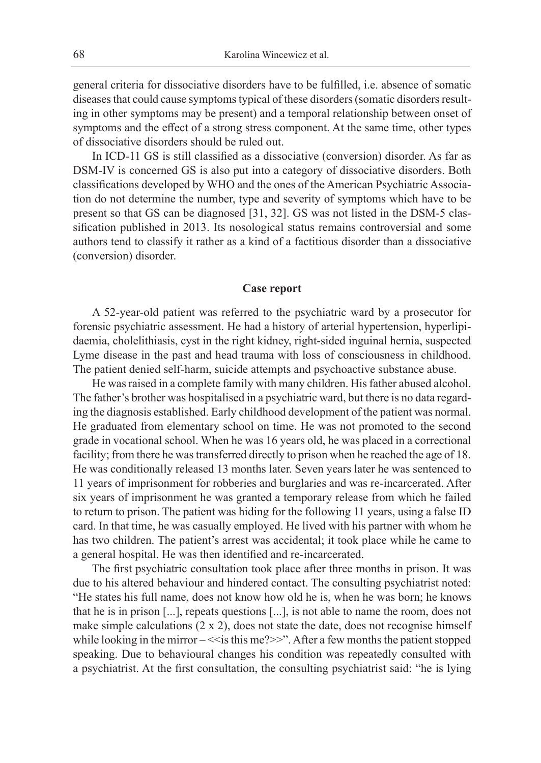general criteria for dissociative disorders have to be fulfilled, i.e. absence of somatic diseases that could cause symptoms typical of these disorders (somatic disorders resulting in other symptoms may be present) and a temporal relationship between onset of symptoms and the effect of a strong stress component. At the same time, other types of dissociative disorders should be ruled out.

In ICD-11 GS is still classified as a dissociative (conversion) disorder. As far as DSM-IV is concerned GS is also put into a category of dissociative disorders. Both classifications developed by WHO and the ones of the American Psychiatric Association do not determine the number, type and severity of symptoms which have to be present so that GS can be diagnosed [31, 32]. GS was not listed in the DSM-5 classification published in 2013. Its nosological status remains controversial and some authors tend to classify it rather as a kind of a factitious disorder than a dissociative (conversion) disorder.

# **Case report**

A 52-year-old patient was referred to the psychiatric ward by a prosecutor for forensic psychiatric assessment. He had a history of arterial hypertension, hyperlipidaemia, cholelithiasis, cyst in the right kidney, right-sided inguinal hernia, suspected Lyme disease in the past and head trauma with loss of consciousness in childhood. The patient denied self-harm, suicide attempts and psychoactive substance abuse.

He was raised in a complete family with many children. His father abused alcohol. The father's brother was hospitalised in a psychiatric ward, but there is no data regarding the diagnosis established. Early childhood development of the patient was normal. He graduated from elementary school on time. He was not promoted to the second grade in vocational school. When he was 16 years old, he was placed in a correctional facility; from there he was transferred directly to prison when he reached the age of 18. He was conditionally released 13 months later. Seven years later he was sentenced to 11 years of imprisonment for robberies and burglaries and was re-incarcerated. After six years of imprisonment he was granted a temporary release from which he failed to return to prison. The patient was hiding for the following 11 years, using a false ID card. In that time, he was casually employed. He lived with his partner with whom he has two children. The patient's arrest was accidental; it took place while he came to a general hospital. He was then identified and re-incarcerated.

The first psychiatric consultation took place after three months in prison. It was due to his altered behaviour and hindered contact. The consulting psychiatrist noted: "He states his full name, does not know how old he is, when he was born; he knows that he is in prison [...], repeats questions [...], is not able to name the room, does not make simple calculations (2 x 2), does not state the date, does not recognise himself while looking in the mirror  $-\le$  is this me? $\ge$ ". After a few months the patient stopped speaking. Due to behavioural changes his condition was repeatedly consulted with a psychiatrist. At the first consultation, the consulting psychiatrist said: "he is lying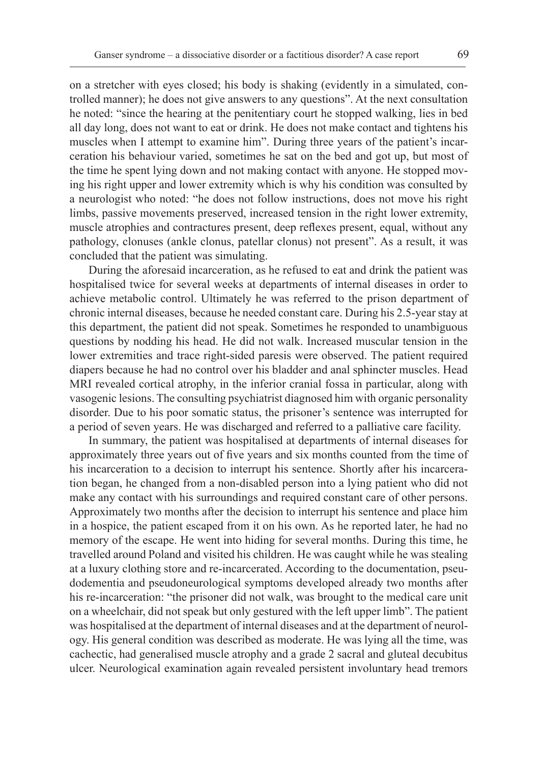on a stretcher with eyes closed; his body is shaking (evidently in a simulated, controlled manner); he does not give answers to any questions". At the next consultation he noted: "since the hearing at the penitentiary court he stopped walking, lies in bed all day long, does not want to eat or drink. He does not make contact and tightens his muscles when I attempt to examine him". During three years of the patient's incarceration his behaviour varied, sometimes he sat on the bed and got up, but most of the time he spent lying down and not making contact with anyone. He stopped moving his right upper and lower extremity which is why his condition was consulted by a neurologist who noted: "he does not follow instructions, does not move his right limbs, passive movements preserved, increased tension in the right lower extremity, muscle atrophies and contractures present, deep reflexes present, equal, without any pathology, clonuses (ankle clonus, patellar clonus) not present". As a result, it was concluded that the patient was simulating.

During the aforesaid incarceration, as he refused to eat and drink the patient was hospitalised twice for several weeks at departments of internal diseases in order to achieve metabolic control. Ultimately he was referred to the prison department of chronic internal diseases, because he needed constant care. During his 2.5-year stay at this department, the patient did not speak. Sometimes he responded to unambiguous questions by nodding his head. He did not walk. Increased muscular tension in the lower extremities and trace right-sided paresis were observed. The patient required diapers because he had no control over his bladder and anal sphincter muscles. Head MRI revealed cortical atrophy, in the inferior cranial fossa in particular, along with vasogenic lesions. The consulting psychiatrist diagnosed him with organic personality disorder. Due to his poor somatic status, the prisoner's sentence was interrupted for a period of seven years. He was discharged and referred to a palliative care facility.

In summary, the patient was hospitalised at departments of internal diseases for approximately three years out of five years and six months counted from the time of his incarceration to a decision to interrupt his sentence. Shortly after his incarceration began, he changed from a non-disabled person into a lying patient who did not make any contact with his surroundings and required constant care of other persons. Approximately two months after the decision to interrupt his sentence and place him in a hospice, the patient escaped from it on his own. As he reported later, he had no memory of the escape. He went into hiding for several months. During this time, he travelled around Poland and visited his children. He was caught while he was stealing at a luxury clothing store and re-incarcerated. According to the documentation, pseudodementia and pseudoneurological symptoms developed already two months after his re-incarceration: "the prisoner did not walk, was brought to the medical care unit on a wheelchair, did not speak but only gestured with the left upper limb". The patient was hospitalised at the department of internal diseases and at the department of neurology. His general condition was described as moderate. He was lying all the time, was cachectic, had generalised muscle atrophy and a grade 2 sacral and gluteal decubitus ulcer. Neurological examination again revealed persistent involuntary head tremors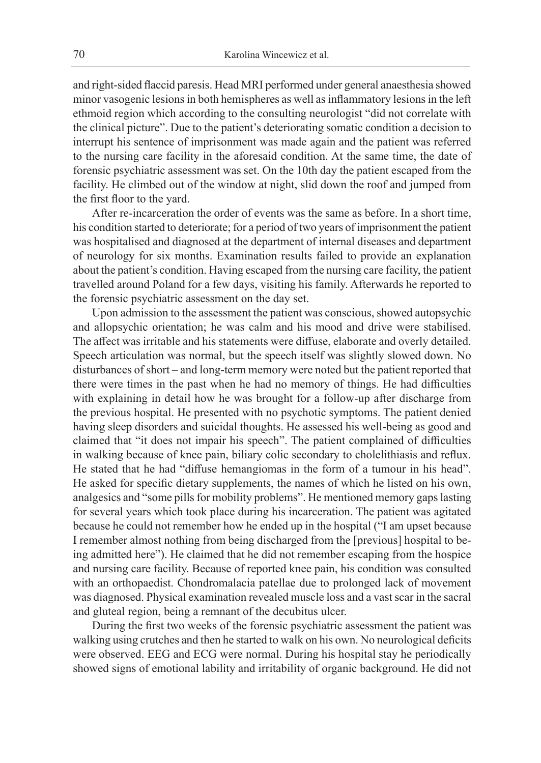and right-sided flaccid paresis. Head MRI performed under general anaesthesia showed minor vasogenic lesions in both hemispheres as well as inflammatory lesions in the left ethmoid region which according to the consulting neurologist "did not correlate with the clinical picture". Due to the patient's deteriorating somatic condition a decision to interrupt his sentence of imprisonment was made again and the patient was referred to the nursing care facility in the aforesaid condition. At the same time, the date of forensic psychiatric assessment was set. On the 10th day the patient escaped from the facility. He climbed out of the window at night, slid down the roof and jumped from the first floor to the yard.

After re-incarceration the order of events was the same as before. In a short time, his condition started to deteriorate; for a period of two years of imprisonment the patient was hospitalised and diagnosed at the department of internal diseases and department of neurology for six months. Examination results failed to provide an explanation about the patient's condition. Having escaped from the nursing care facility, the patient travelled around Poland for a few days, visiting his family. Afterwards he reported to the forensic psychiatric assessment on the day set.

Upon admission to the assessment the patient was conscious, showed autopsychic and allopsychic orientation; he was calm and his mood and drive were stabilised. The affect was irritable and his statements were diffuse, elaborate and overly detailed. Speech articulation was normal, but the speech itself was slightly slowed down. No disturbances of short – and long-term memory were noted but the patient reported that there were times in the past when he had no memory of things. He had difficulties with explaining in detail how he was brought for a follow-up after discharge from the previous hospital. He presented with no psychotic symptoms. The patient denied having sleep disorders and suicidal thoughts. He assessed his well-being as good and claimed that "it does not impair his speech". The patient complained of difficulties in walking because of knee pain, biliary colic secondary to cholelithiasis and reflux. He stated that he had "diffuse hemangiomas in the form of a tumour in his head". He asked for specific dietary supplements, the names of which he listed on his own, analgesics and "some pills for mobility problems". He mentioned memory gaps lasting for several years which took place during his incarceration. The patient was agitated because he could not remember how he ended up in the hospital ("I am upset because I remember almost nothing from being discharged from the [previous] hospital to being admitted here"). He claimed that he did not remember escaping from the hospice and nursing care facility. Because of reported knee pain, his condition was consulted with an orthopaedist. Chondromalacia patellae due to prolonged lack of movement was diagnosed. Physical examination revealed muscle loss and a vast scar in the sacral and gluteal region, being a remnant of the decubitus ulcer.

During the first two weeks of the forensic psychiatric assessment the patient was walking using crutches and then he started to walk on his own. No neurological deficits were observed. EEG and ECG were normal. During his hospital stay he periodically showed signs of emotional lability and irritability of organic background. He did not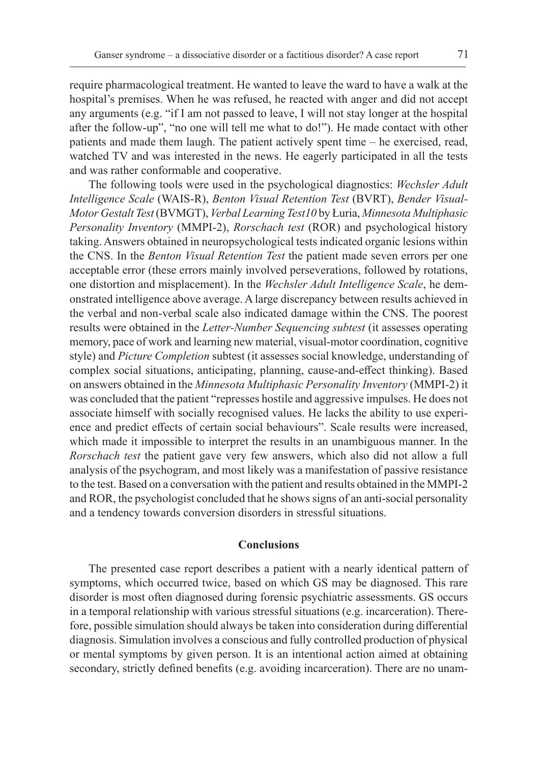require pharmacological treatment. He wanted to leave the ward to have a walk at the hospital's premises. When he was refused, he reacted with anger and did not accept any arguments (e.g. "if I am not passed to leave, I will not stay longer at the hospital after the follow-up", "no one will tell me what to do!"). He made contact with other patients and made them laugh. The patient actively spent time – he exercised, read, watched TV and was interested in the news. He eagerly participated in all the tests and was rather conformable and cooperative.

The following tools were used in the psychological diagnostics: *Wechsler Adult Intelligence Scale* (WAIS-R), *Benton Visual Retention Test* (BVRT), *Bender Visual-Motor Gestalt Test* (BVMGT), *Verbal Learning Test10* by Łuria, *Minnesota Multiphasic Personality Inventory* (MMPI-2), *Rorschach test* (ROR) and psychological history taking. Answers obtained in neuropsychological tests indicated organic lesions within the CNS. In the *Benton Visual Retention Test* the patient made seven errors per one acceptable error (these errors mainly involved perseverations, followed by rotations, one distortion and misplacement). In the *Wechsler Adult Intelligence Scale*, he demonstrated intelligence above average. A large discrepancy between results achieved in the verbal and non-verbal scale also indicated damage within the CNS. The poorest results were obtained in the *Letter-Number Sequencing subtest* (it assesses operating memory, pace of work and learning new material, visual-motor coordination, cognitive style) and *Picture Completion* subtest (it assesses social knowledge, understanding of complex social situations, anticipating, planning, cause-and-effect thinking). Based on answers obtained in the *Minnesota Multiphasic Personality Inventory* (MMPI-2) it was concluded that the patient "represses hostile and aggressive impulses. He does not associate himself with socially recognised values. He lacks the ability to use experience and predict effects of certain social behaviours". Scale results were increased, which made it impossible to interpret the results in an unambiguous manner. In the *Rorschach test* the patient gave very few answers, which also did not allow a full analysis of the psychogram, and most likely was a manifestation of passive resistance to the test. Based on a conversation with the patient and results obtained in the MMPI-2 and ROR, the psychologist concluded that he shows signs of an anti-social personality and a tendency towards conversion disorders in stressful situations.

# **Conclusions**

The presented case report describes a patient with a nearly identical pattern of symptoms, which occurred twice, based on which GS may be diagnosed. This rare disorder is most often diagnosed during forensic psychiatric assessments. GS occurs in a temporal relationship with various stressful situations (e.g. incarceration). Therefore, possible simulation should always be taken into consideration during differential diagnosis. Simulation involves a conscious and fully controlled production of physical or mental symptoms by given person. It is an intentional action aimed at obtaining secondary, strictly defined benefits (e.g. avoiding incarceration). There are no unam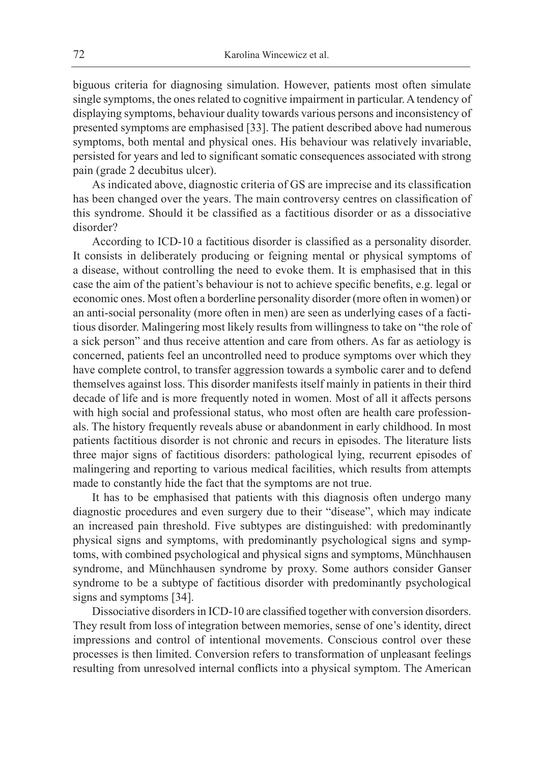biguous criteria for diagnosing simulation. However, patients most often simulate single symptoms, the ones related to cognitive impairment in particular. A tendency of displaying symptoms, behaviour duality towards various persons and inconsistency of presented symptoms are emphasised [33]. The patient described above had numerous symptoms, both mental and physical ones. His behaviour was relatively invariable, persisted for years and led to significant somatic consequences associated with strong pain (grade 2 decubitus ulcer).

As indicated above, diagnostic criteria of GS are imprecise and its classification has been changed over the years. The main controversy centres on classification of this syndrome. Should it be classified as a factitious disorder or as a dissociative disorder?

According to ICD-10 a factitious disorder is classified as a personality disorder. It consists in deliberately producing or feigning mental or physical symptoms of a disease, without controlling the need to evoke them. It is emphasised that in this case the aim of the patient's behaviour is not to achieve specific benefits, e.g. legal or economic ones. Most often a borderline personality disorder (more often in women) or an anti-social personality (more often in men) are seen as underlying cases of a factitious disorder. Malingering most likely results from willingness to take on "the role of a sick person" and thus receive attention and care from others. As far as aetiology is concerned, patients feel an uncontrolled need to produce symptoms over which they have complete control, to transfer aggression towards a symbolic carer and to defend themselves against loss. This disorder manifests itself mainly in patients in their third decade of life and is more frequently noted in women. Most of all it affects persons with high social and professional status, who most often are health care professionals. The history frequently reveals abuse or abandonment in early childhood. In most patients factitious disorder is not chronic and recurs in episodes. The literature lists three major signs of factitious disorders: pathological lying, recurrent episodes of malingering and reporting to various medical facilities, which results from attempts made to constantly hide the fact that the symptoms are not true.

It has to be emphasised that patients with this diagnosis often undergo many diagnostic procedures and even surgery due to their "disease", which may indicate an increased pain threshold. Five subtypes are distinguished: with predominantly physical signs and symptoms, with predominantly psychological signs and symptoms, with combined psychological and physical signs and symptoms, Münchhausen syndrome, and Münchhausen syndrome by proxy. Some authors consider Ganser syndrome to be a subtype of factitious disorder with predominantly psychological signs and symptoms [34].

Dissociative disorders in ICD-10 are classified together with conversion disorders. They result from loss of integration between memories, sense of one's identity, direct impressions and control of intentional movements. Conscious control over these processes is then limited. Conversion refers to transformation of unpleasant feelings resulting from unresolved internal conflicts into a physical symptom. The American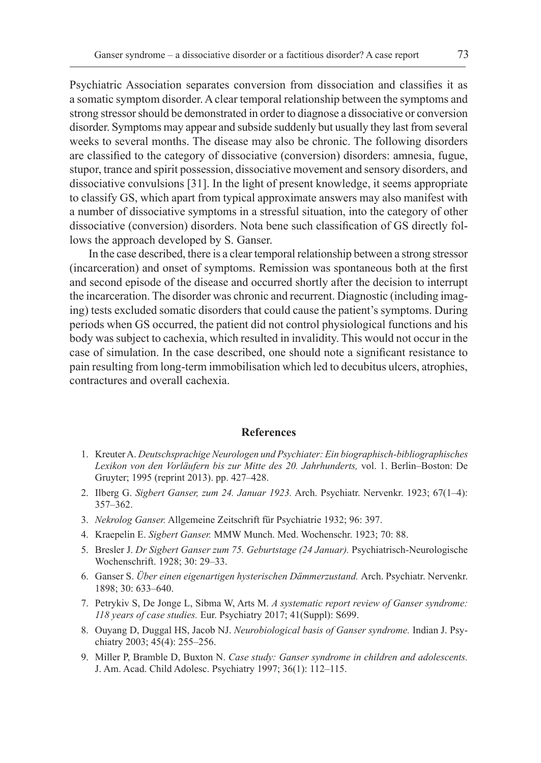Psychiatric Association separates conversion from dissociation and classifies it as a somatic symptom disorder. A clear temporal relationship between the symptoms and strong stressor should be demonstrated in order to diagnose a dissociative or conversion disorder. Symptoms may appear and subside suddenly but usually they last from several weeks to several months. The disease may also be chronic. The following disorders are classified to the category of dissociative (conversion) disorders: amnesia, fugue, stupor, trance and spirit possession, dissociative movement and sensory disorders, and dissociative convulsions [31]. In the light of present knowledge, it seems appropriate to classify GS, which apart from typical approximate answers may also manifest with a number of dissociative symptoms in a stressful situation, into the category of other dissociative (conversion) disorders. Nota bene such classification of GS directly follows the approach developed by S. Ganser.

In the case described, there is a clear temporal relationship between a strong stressor (incarceration) and onset of symptoms. Remission was spontaneous both at the first and second episode of the disease and occurred shortly after the decision to interrupt the incarceration. The disorder was chronic and recurrent. Diagnostic (including imaging) tests excluded somatic disorders that could cause the patient's symptoms. During periods when GS occurred, the patient did not control physiological functions and his body was subject to cachexia, which resulted in invalidity. This would not occur in the case of simulation. In the case described, one should note a significant resistance to pain resulting from long-term immobilisation which led to decubitus ulcers, atrophies, contractures and overall cachexia.

# **References**

- 1. Kreuter A. *Deutschsprachige Neurologen und Psychiater: Ein biographisch-bibliographisches Lexikon von den Vorläufern bis zur Mitte des 20. Jahrhunderts,* vol. 1. Berlin–Boston: De Gruyter; 1995 (reprint 2013). pp. 427–428.
- 2. Ilberg G. *Sigbert Ganser, zum 24. Januar 1923.* Arch. Psychiatr. Nervenkr. 1923; 67(1–4): 357–362.
- 3. *Nekrolog Ganser.* Allgemeine Zeitschrift für Psychiatrie 1932; 96: 397.
- 4. Kraepelin E. *Sigbert Ganser.* MMW Munch. Med. Wochenschr. 1923; 70: 88.
- 5. Bresler J. *Dr Sigbert Ganser zum 75. Geburtstage (24 Januar).* Psychiatrisch-Neurologische Wochenschrift. 1928; 30: 29–33.
- 6. Ganser S. *Über einen eigenartigen hysterischen Dämmerzustand.* Arch. Psychiatr. Nervenkr. 1898; 30: 633–640.
- 7. Petrykiv S, De Jonge L, Sibma W, Arts M. *A systematic report review of Ganser syndrome: 118 years of case studies.* Eur. Psychiatry 2017; 41(Suppl): S699.
- 8. Ouyang D, Duggal HS, Jacob NJ. *Neurobiological basis of Ganser syndrome.* Indian J. Psychiatry 2003; 45(4): 255–256.
- 9. Miller P, Bramble D, Buxton N. *Case study: Ganser syndrome in children and adolescents.* J. Am. Acad. Child Adolesc. Psychiatry 1997; 36(1): 112–115.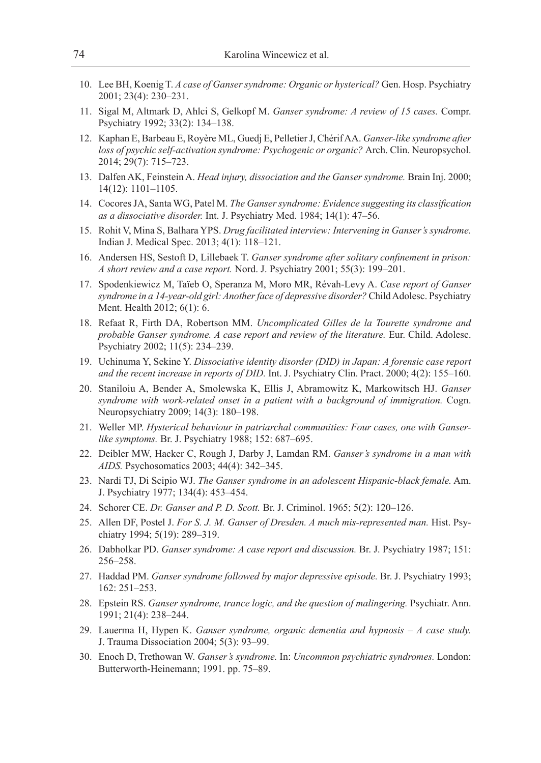- 10. Lee BH, Koenig T. *A case of Ganser syndrome: Organic or hysterical?* Gen. Hosp. Psychiatry 2001; 23(4): 230–231.
- 11. Sigal M, Altmark D, Ahlci S, Gelkopf M. *Ganser syndrome: A review of 15 cases.* Compr. Psychiatry 1992; 33(2): 134–138.
- 12. Kaphan E, Barbeau E, Royère ML, Guedj E, Pelletier J, Chérif AA. *Ganser-like syndrome after loss of psychic self-activation syndrome: Psychogenic or organic?* Arch. Clin. Neuropsychol. 2014; 29(7): 715–723.
- 13. Dalfen AK, Feinstein A. *Head injury, dissociation and the Ganser syndrome.* Brain Inj. 2000; 14(12): 1101–1105.
- 14. Cocores JA, Santa WG, Patel M. *The Ganser syndrome: Evidence suggesting its classification as a dissociative disorder.* Int. J. Psychiatry Med. 1984; 14(1): 47–56.
- 15. Rohit V, Mina S, Balhara YPS. *Drug facilitated interview: Intervening in Ganser's syndrome.* Indian J. Medical Spec. 2013; 4(1): 118–121.
- 16. Andersen HS, Sestoft D, Lillebaek T. *Ganser syndrome after solitary confinement in prison: A short review and a case report.* Nord. J. Psychiatry 2001; 55(3): 199–201.
- 17. Spodenkiewicz M, Taïeb O, Speranza M, Moro MR, Révah-Levy A. *Case report of Ganser syndrome in a 14-year-old girl: Another face of depressive disorder?* Child Adolesc. Psychiatry Ment. Health 2012; 6(1): 6.
- 18. Refaat R, Firth DA, Robertson MM. *Uncomplicated Gilles de la Tourette syndrome and probable Ganser syndrome. A case report and review of the literature.* Eur. Child. Adolesc. Psychiatry 2002; 11(5): 234–239.
- 19. Uchinuma Y, Sekine Y. *Dissociative identity disorder (DID) in Japan: A forensic case report and the recent increase in reports of DID.* Int. J. Psychiatry Clin. Pract. 2000; 4(2): 155–160.
- 20. Staniloiu A, Bender A, Smolewska K, Ellis J, Abramowitz K, Markowitsch HJ. *Ganser syndrome with work-related onset in a patient with a background of immigration.* Cogn. Neuropsychiatry 2009; 14(3): 180–198.
- 21. Weller MP. *Hysterical behaviour in patriarchal communities: Four cases, one with Ganserlike symptoms.* Br. J. Psychiatry 1988; 152: 687–695.
- 22. Deibler MW, Hacker C, Rough J, Darby J, Lamdan RM. *Ganser's syndrome in a man with AIDS.* Psychosomatics 2003; 44(4): 342–345.
- 23. Nardi TJ, Di Scipio WJ. *The Ganser syndrome in an adolescent Hispanic-black female.* Am. J. Psychiatry 1977; 134(4): 453–454.
- 24. Schorer CE. *Dr. Ganser and P. D. Scott.* Br. J. Criminol. 1965; 5(2): 120–126.
- 25. Allen DF, Postel J. *For S. J. M. Ganser of Dresden. A much mis-represented man.* Hist. Psychiatry 1994; 5(19): 289–319.
- 26. Dabholkar PD. *Ganser syndrome: A case report and discussion.* Br. J. Psychiatry 1987; 151: 256–258.
- 27. Haddad PM. *Ganser syndrome followed by major depressive episode.* Br. J. Psychiatry 1993; 162: 251–253.
- 28. Epstein RS. *Ganser syndrome, trance logic, and the question of malingering.* Psychiatr. Ann. 1991; 21(4): 238–244.
- 29. Lauerma H, Hypen K. *Ganser syndrome, organic dementia and hypnosis A case study.*  J. Trauma Dissociation 2004; 5(3): 93–99.
- 30. Enoch D, Trethowan W. *Ganser's syndrome.* In: *Uncommon psychiatric syndromes.* London: Butterworth-Heinemann; 1991. pp. 75–89.